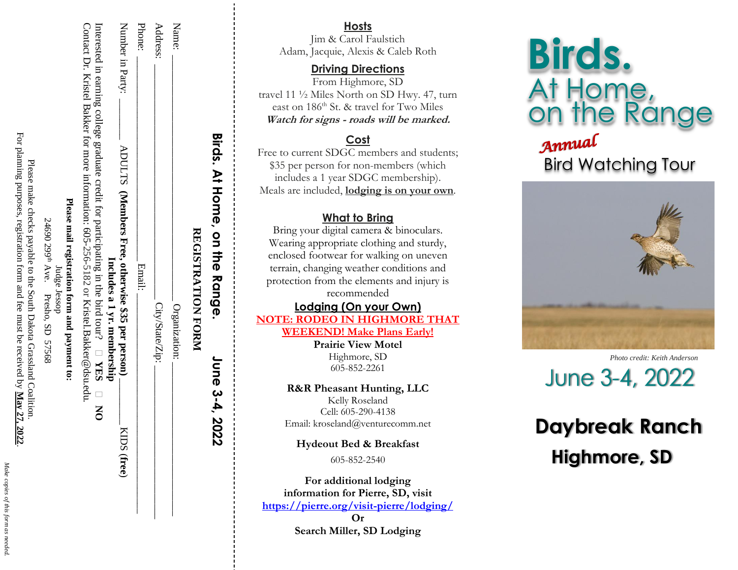| ١<br>í                     |
|----------------------------|
| Î                          |
| :                          |
| ١<br>I<br>l<br>ı<br>i<br>ļ |
| i                          |
| i                          |
|                            |

.

For planning purposes, registration form and fee must be received by May 27, 2022 For planning purposes, registration form and fee must be received by Please make checks payable to the South Dakota Grassland Coalition Please make checks payable to the South Dakota Grassland Coalition. **May 27, 2022**

| į                          |                                               |              |
|----------------------------|-----------------------------------------------|--------------|
|                            |                                               |              |
|                            |                                               |              |
| $\ddot{\phantom{0}}$       | 24690 299 <sup>th</sup> Ave. Presho, SD 57568 |              |
|                            |                                               |              |
|                            |                                               |              |
|                            |                                               | Judge Jessop |
|                            |                                               |              |
|                            |                                               |              |
|                            |                                               |              |
|                            |                                               |              |
|                            |                                               |              |
|                            |                                               |              |
|                            |                                               |              |
| .<br>.<br>.<br>.<br>.<br>. |                                               |              |

**Please mail registration form and payment** Please mail registration form and payment to:

Interested in earning college graduate credit for participating in the bird tour? **YES** Contact Dr. Kristel Bakker for more information: 605-256-5182 or [Kristel.Bakker@dsu.edu](mailto:Kristel.Bakker@dsu.edu)Contact Dr. Kristel Bakker for more information: 605-5182 or Kristel.Bakker@dsu.edu.

|  | Interested in earning college graduate credit for participating in the bird tour? $\Box$ YES $\Box$ NO | Includes a 1 yr. membership | Number in Party:<br>ADULTS (Members Free, otherwise \$35 per person). |
|--|--------------------------------------------------------------------------------------------------------|-----------------------------|-----------------------------------------------------------------------|
|--|--------------------------------------------------------------------------------------------------------|-----------------------------|-----------------------------------------------------------------------|

KIDS (free)

ADULTS (Members Free, otherwise \$35 per person)

\_\_\_\_\_\_\_\_\_\_\_\_\_\_\_\_\_\_\_\_\_\_\_\_\_\_\_\_\_\_ Address: \_\_\_\_\_\_\_\_\_\_\_\_\_\_\_\_\_\_\_\_\_\_\_\_\_\_\_\_\_\_\_\_\_\_\_\_\_\_\_\_\_\_\_\_\_\_ City/State/Zip: \_\_\_\_\_\_\_\_\_\_\_\_\_\_\_\_\_\_\_\_\_\_\_\_\_\_\_\_\_\_ Phone: \_\_\_\_\_\_\_\_\_\_\_\_\_\_\_\_\_\_\_\_\_\_\_\_\_\_\_\_\_\_\_\_\_\_\_\_\_\_\_\_ Email: \_\_\_\_\_\_\_\_\_\_\_\_\_\_\_\_\_\_\_\_\_\_\_\_\_\_\_\_\_\_\_\_\_\_\_\_\_\_\_\_\_\_\_ Number in Party: \_\_\_\_\_\_\_\_ ADULTS **(Members Free, otherwise \$35 per person)** \_\_\_\_\_\_\_\_\_ KIDS (**free**)

Email:

City/State/Zip:

Name: \_\_\_\_\_\_\_\_\_\_\_\_\_\_\_\_\_\_\_\_\_\_\_\_\_\_\_\_\_\_\_\_\_\_\_\_\_\_\_\_\_\_\_\_\_\_\_\_ Organization: Organization:

Name:

Phone: Address:

> Birds. At Home, on the Range REGISTRATION FORM **REGISTRATION FORM**

**Birds. At Home, on the Range. June 3-4, 2022** **Host s**

Jim & Carol Faulstich Adam, Jacquie, Alexis & Caleb Roth

**Driving Directions**

From Highmore, SD travel 11 ½ Miles North on SD Hwy. 47, turn east on 186<sup>th</sup> St. & travel for Two Miles **Watch for signs - roads will be marked.**

# **Cost**

Free to current SDGC members and students; \$3 5 per person for non -members (which includes a 1 year SDGC membership) . Meals are included, **lodging is on your own** .

### **What to Bring**

Bring your digital camera & binoculars. Wearing appropriate clothing and sturdy, enclosed footwear for walking on uneven terrain, changing weather conditions and protection from the elements and injury is recommended

**Lodging (On your Own) NOTE: RODEO IN HIGHMORE THAT** 

**WEEKEND ! Make Plans Early! Prairie View Motel**

Highmore, SD 605 -852 -2261

**R&R Pheasant Hunting, LLC** Kelly Roseland Cell: 605-290-4138 Email: kroseland@venturecomm.net

**Hydeout Bed & Breakfast**

605 -852 -2540

**For additional lodging information for Pierre, SD, visit [https://pierre.org/visit](https://pierre.org/visit-pierre/lodging/) -pierre/lodging/ Or**

**Search Miller, SD Lodging**

**Birds.** At Home,<br>on the Range Annual

# Bird Watching Tour



*Photo credit: Keith Anderson*June 3-4, 2022

# **Daybreak Ranch Highmore, SD**